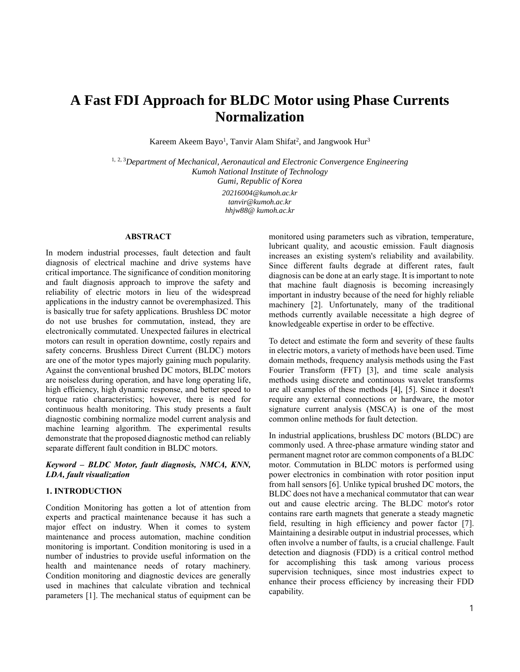# **A Fast FDI Approach for BLDC Motor using Phase Currents Normalization**

Kareem Akeem Bayo<sup>1</sup>, Tanvir Alam Shifat<sup>2</sup>, and Jangwook Hur<sup>3</sup>

1, 2, 3*Department of Mechanical, Aeronautical and Electronic Convergence Engineering Kumoh National Institute of Technology Gumi, Republic of Korea*

> *20216004@kumoh.ac.kr tanvir@kumoh.ac.kr hhjw88@ kumoh.ac.kr*

# **ABSTRACT**

In modern industrial processes, fault detection and fault diagnosis of electrical machine and drive systems have critical importance. The significance of condition monitoring and fault diagnosis approach to improve the safety and reliability of electric motors in lieu of the widespread applications in the industry cannot be overemphasized. This is basically true for safety applications. Brushless DC motor do not use brushes for commutation, instead, they are electronically commutated. Unexpected failures in electrical motors can result in operation downtime, costly repairs and safety concerns. Brushless Direct Current (BLDC) motors are one of the motor types majorly gaining much popularity. Against the conventional brushed DC motors, BLDC motors are noiseless during operation, and have long operating life, high efficiency, high dynamic response, and better speed to torque ratio characteristics; however, there is need for continuous health monitoring. This study presents a fault diagnostic combining normalize model current analysis and machine learning algorithm. The experimental results demonstrate that the proposed diagnostic method can reliably separate different fault condition in BLDC motors.

*Keyword – BLDC Motor, fault diagnosis, NMCA, KNN, LDA, fault visualization*

# **1. INTRODUCTION**

Condition Monitoring has gotten a lot of attention from experts and practical maintenance because it has such a major effect on industry. When it comes to system maintenance and process automation, machine condition monitoring is important. Condition monitoring is used in a number of industries to provide useful information on the health and maintenance needs of rotary machinery. Condition monitoring and diagnostic devices are generally used in machines that calculate vibration and technical parameters [1]. The mechanical status of equipment can be monitored using parameters such as vibration, temperature, lubricant quality, and acoustic emission. Fault diagnosis increases an existing system's reliability and availability. Since different faults degrade at different rates, fault diagnosis can be done at an early stage. It is important to note that machine fault diagnosis is becoming increasingly important in industry because of the need for highly reliable machinery [2]. Unfortunately, many of the traditional methods currently available necessitate a high degree of knowledgeable expertise in order to be effective.

To detect and estimate the form and severity of these faults in electric motors, a variety of methods have been used. Time domain methods, frequency analysis methods using the Fast Fourier Transform (FFT) [3], and time scale analysis methods using discrete and continuous wavelet transforms are all examples of these methods [4], [5]. Since it doesn't require any external connections or hardware, the motor signature current analysis (MSCA) is one of the most common online methods for fault detection.

In industrial applications, brushless DC motors (BLDC) are commonly used. A three-phase armature winding stator and permanent magnet rotor are common components of a BLDC motor. Commutation in BLDC motors is performed using power electronics in combination with rotor position input from hall sensors [6]. Unlike typical brushed DC motors, the BLDC does not have a mechanical commutator that can wear out and cause electric arcing. The BLDC motor's rotor contains rare earth magnets that generate a steady magnetic field, resulting in high efficiency and power factor [7]. Maintaining a desirable output in industrial processes, which often involve a number of faults, is a crucial challenge. Fault detection and diagnosis (FDD) is a critical control method for accomplishing this task among various process supervision techniques, since most industries expect to enhance their process efficiency by increasing their FDD capability.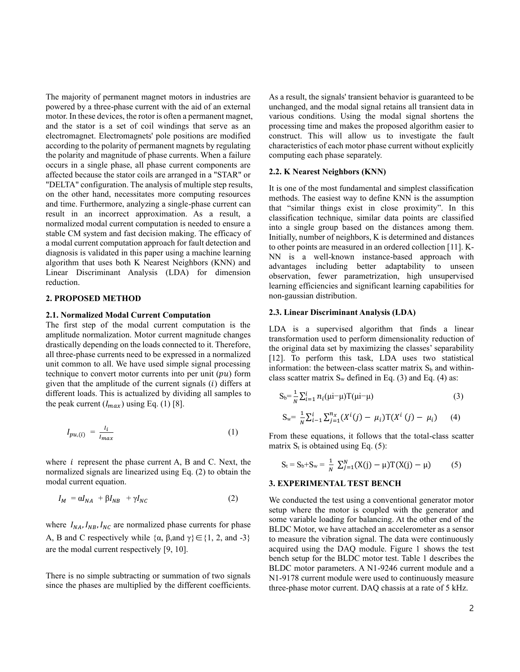The majority of permanent magnet motors in industries are powered by a three-phase current with the aid of an external motor. In these devices, the rotor is often a permanent magnet, and the stator is a set of coil windings that serve as an electromagnet. Electromagnets' pole positions are modified according to the polarity of permanent magnets by regulating the polarity and magnitude of phase currents. When a failure occurs in a single phase, all phase current components are affected because the stator coils are arranged in a "STAR" or "DELTA" configuration. The analysis of multiple step results, on the other hand, necessitates more computing resources and time. Furthermore, analyzing a single-phase current can result in an incorrect approximation. As a result, a normalized modal current computation is needed to ensure a stable CM system and fast decision making. The efficacy of a modal current computation approach for fault detection and diagnosis is validated in this paper using a machine learning algorithm that uses both K Nearest Neighbors (KNN) and Linear Discriminant Analysis (LDA) for dimension reduction.

## **2. PROPOSED METHOD**

## **2.1. Normalized Modal Current Computation**

The first step of the modal current computation is the amplitude normalization. Motor current magnitude changes drastically depending on the loads connected to it. Therefore, all three-phase currents need to be expressed in a normalized unit common to all. We have used simple signal processing technique to convert motor currents into per unit  $(pu)$  form given that the amplitude of the current signals  $(i)$  differs at different loads. This is actualized by dividing all samples to the peak current  $(I_{max})$  using Eq. (1) [8].

$$
I_{pu,(i)} = \frac{I_i}{I_{max}} \tag{1}
$$

where  $i$  represent the phase current A, B and C. Next, the normalized signals are linearized using Eq. (2) to obtain the modal current equation.

$$
I_M = \alpha I_{NA} + \beta I_{NB} + \gamma I_{NC}
$$
 (2)

where  $I_{NA}$ ,  $I_{NB}$ ,  $I_{NC}$  are normalized phase currents for phase A, B and C respectively while  $\{\alpha, \beta, \text{and } \gamma\} \in \{1, 2, \text{and } -3\}$ are the modal current respectively [9, 10].

There is no simple subtracting or summation of two signals since the phases are multiplied by the different coefficients. As a result, the signals' transient behavior is guaranteed to be unchanged, and the modal signal retains all transient data in various conditions. Using the modal signal shortens the processing time and makes the proposed algorithm easier to construct. This will allow us to investigate the fault characteristics of each motor phase current without explicitly computing each phase separately.

### **2.2. K Nearest Neighbors (KNN)**

It is one of the most fundamental and simplest classification methods. The easiest way to define KNN is the assumption that "similar things exist in close proximity". In this classification technique, similar data points are classified into a single group based on the distances among them. Initially, number of neighbors, K is determined and distances to other points are measured in an ordered collection [11]. K-NN is a well-known instance-based approach with advantages including better adaptability to unseen observation, fewer parametrization, high unsupervised learning efficiencies and significant learning capabilities for non-gaussian distribution.

#### **2.3. Linear Discriminant Analysis (LDA)**

LDA is a supervised algorithm that finds a linear transformation used to perform dimensionality reduction of the original data set by maximizing the classes' separability [12]. To perform this task, LDA uses two statistical information: the between-class scatter matrix  $S_b$  and withinclass scatter matrix  $S_w$  defined in Eq. (3) and Eq. (4) as:

$$
S_b = \frac{1}{N} \sum_{i=1}^{i} n_i (\mu i - \mu) T(\mu i - \mu)
$$
 (3)

$$
S_w = \frac{1}{N} \sum_{i=1}^{N} \sum_{j=1}^{n_x} (X^i(j) - \mu_i) T(X^i(j) - \mu_i)
$$
 (4)

From these equations, it follows that the total-class scatter matrix  $S_t$  is obtained using Eq. (5):

$$
S_t = S_b + S_w = \frac{1}{N} \sum_{j=1}^{N} (X(j) - \mu) T(X(j) - \mu)
$$
 (5)

## **3. EXPERIMENTAL TEST BENCH**

We conducted the test using a conventional generator motor setup where the motor is coupled with the generator and some variable loading for balancing. At the other end of the BLDC Motor, we have attached an accelerometer as a sensor to measure the vibration signal. The data were continuously acquired using the DAQ module. Figure 1 shows the test bench setup for the BLDC motor test. Table 1 describes the BLDC motor parameters. A N1-9246 current module and a N1-9178 current module were used to continuously measure three-phase motor current. DAQ chassis at a rate of 5 kHz.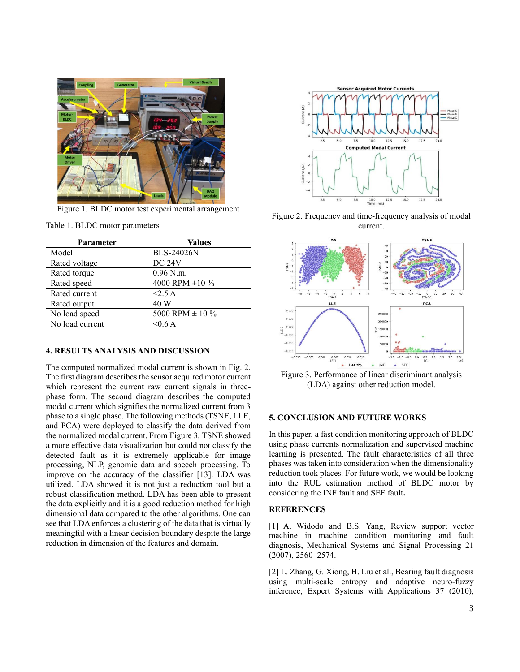

Figure 1. BLDC motor test experimental arrangement

| Parameter       | <b>Values</b>            |
|-----------------|--------------------------|
| Model           | <b>BLS-24026N</b>        |
| Rated voltage   | <b>DC 24V</b>            |
| Rated torque    | 0.96 N.m.                |
| Rated speed     | 4000 RPM ±10 %           |
| Rated current   | $<$ 2.5 A                |
| Rated output    | 40 W                     |
| No load speed   | $5000$ RPM $\pm$ 10 $\%$ |
| No load current | $<$ 0.6 A                |

Table 1. BLDC motor parameters

# **4. RESULTS ANALYSIS AND DISCUSSION**

The computed normalized modal current is shown in Fig. 2. The first diagram describes the sensor acquired motor current which represent the current raw current signals in threephase form. The second diagram describes the computed modal current which signifies the normalized current from 3 phase to a single phase. The following methods (TSNE, LLE, and PCA) were deployed to classify the data derived from the normalized modal current. From Figure 3, TSNE showed a more effective data visualization but could not classify the detected fault as it is extremely applicable for image processing, NLP, genomic data and speech processing. To improve on the accuracy of the classifier [13]. LDA was utilized. LDA showed it is not just a reduction tool but a robust classification method. LDA has been able to present the data explicitly and it is a good reduction method for high dimensional data compared to the other algorithms. One can see that LDA enforces a clustering of the data that is virtually meaningful with a linear decision boundary despite the large reduction in dimension of the features and domain.



Figure 2. Frequency and time-frequency analysis of modal current.



Figure 3. Performance of linear discriminant analysis (LDA) against other reduction model.

# **5. CONCLUSION AND FUTURE WORKS**

In this paper, a fast condition monitoring approach of BLDC using phase currents normalization and supervised machine learning is presented. The fault characteristics of all three phases was taken into consideration when the dimensionality reduction took places. For future work, we would be looking into the RUL estimation method of BLDC motor by considering the INF fault and SEF fault**.**

## **REFERENCES**

[1] A. Widodo and B.S. Yang, Review support vector machine in machine condition monitoring and fault diagnosis, Mechanical Systems and Signal Processing 21 (2007), 2560–2574.

[2] L. Zhang, G. Xiong, H. Liu et al., Bearing fault diagnosis using multi-scale entropy and adaptive neuro-fuzzy inference, Expert Systems with Applications 37 (2010),